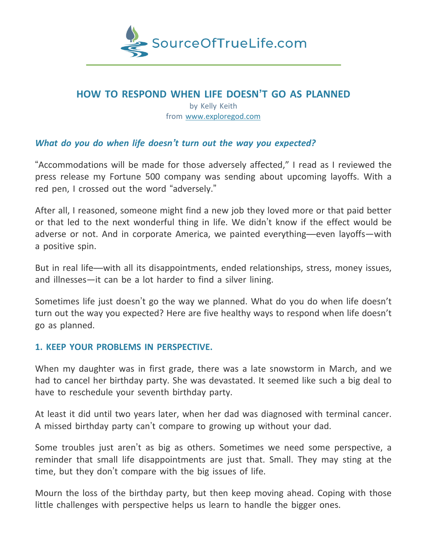

# **HOW TO RESPOND WHEN LIFE DOESN'T GO AS PLANNED**

by Kelly Keith from [www.exploregod.com](http://www.exploregod.com/)

# *What do you do when life doesn't turn out the way you expected?*

"Accommodations will be made for those adversely affected," I read as I reviewed the press release my Fortune 500 company was sending about upcoming layoffs. With a red pen, I crossed out the word "adversely."

After all, I reasoned, someone might find a new job they loved more or that paid better or that led to the next wonderful thing in life. We didn't know if the effect would be adverse or not. And in corporate America, we painted everything—even layoffs—with a positive spin.

But in real life—with all its disappointments, ended relationships, stress, money issues, and illnesses—it can be a lot harder to find a silver lining.

Sometimes life just doesn't go the way we planned. What do you do when life doesn't turn out the way you expected? Here are five healthy ways to respond when life doesn't go as planned.

## **1. KEEP YOUR PROBLEMS IN PERSPECTIVE.**

When my daughter was in first grade, there was a late snowstorm in March, and we had to cancel her birthday party. She was devastated. It seemed like such a big deal to have to reschedule your seventh birthday party.

At least it did until two years later, when her dad was diagnosed with terminal cancer. A missed birthday party can't compare to growing up without your dad.

Some troubles just aren't as big as others. Sometimes we need some perspective, a reminder that small life disappointments are just that. Small. They may sting at the time, but they don't compare with the big issues of life.

Mourn the loss of the birthday party, but then keep moving ahead. Coping with those little challenges with perspective helps us learn to handle the bigger ones.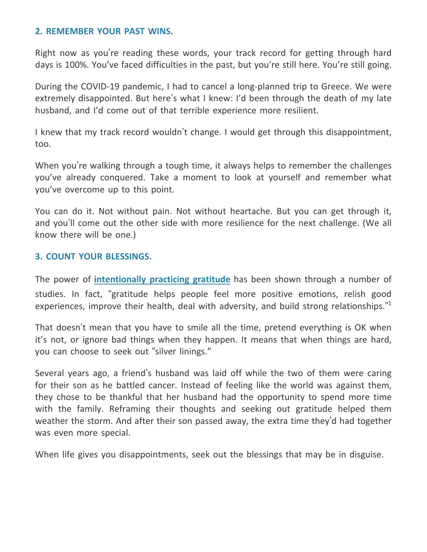## **2. REMEMBER YOUR PAST WINS.**

Right now as you're reading these words, your track record for getting through hard days is 100%. You've faced difficulties in the past, but you're still here. You're still going.

During the COVID-19 pandemic, I had to cancel a long-planned trip to Greece. We were extremely disappointed. But here's what I knew: I'd been through the death of my late husband, and I'd come out of that terrible experience more resilient.

I knew that my track record wouldn't change. I would get through this disappointment, too.

When you're walking through a tough time, it always helps to remember the challenges you've already conquered. Take a moment to look at yourself and remember what you've overcome up to this point.

You can do it. Not without pain. Not without heartache. But you can get through it, and you'll come out the other side with more resilience for the next challenge. (We all know there will be one.)

# **3. COUNT YOUR BLESSINGS.**

The power of **[intentionally](https://www.exploregod.com/daily-inspiration/attitude-of-gratitude) practicing gratitude** has been shown through a number of studies. In fact, "gratitude helps people feel more positive emotions, relish good experiences, improve their health, deal with adversity, and build strong relationships."<sup>1</sup>

That doesn't mean that you have to smile all the time, pretend everything is OK when it's not, or ignore bad things when they happen. It means that when things are hard, you can choose to seek out "silver linings."

Several years ago, a friend's husband was laid off while the two of them were caring for their son as he battled cancer. Instead of feeling like the world was against them, they chose to be thankful that her husband had the opportunity to spend more time with the family. Reframing their thoughts and seeking out gratitude helped them weather the storm. And after their son passed away, the extra time they'd had together was even more special.

When life gives you disappointments, seek out the blessings that may be in disguise.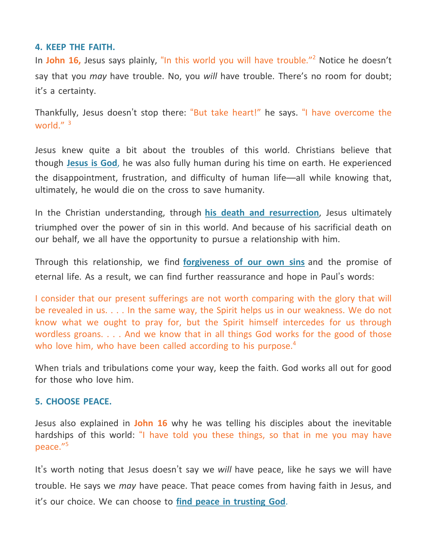## **4. KEEP THE FAITH.**

In **John 16,** Jesus says plainly, "In this world you will have trouble." <sup>2</sup> Notice he doesn't say that you *may* have trouble. No, you *will* have trouble. There's no room for doubt; it's a certainty.

Thankfully, Jesus doesn't stop there: "But take heart!" he says. "I have overcome the world." <sup>3</sup>

Jesus knew quite a bit about the troubles of this world. Christians believe that though **[Jesus](https://www.exploregod.com/articles/is-jesus-god) is God**, he was also fully human during his time on earth. He experienced the disappointment, frustration, and difficulty of human life—all while knowing that, ultimately, he would die on the cross to save humanity.

In the Christian understanding, through **his death and [resurrection](https://www.exploregod.com/videos/why-does-jesuss-resurrection-matter)**, Jesus ultimately triumphed over the power of sin in this world. And because of his sacrificial death on our behalf, we all have the opportunity to pursue a relationship with him.

Through this relationship, we find **[forgiveness](https://www.exploregod.com/articles/what-is-sin) of our own sins** and the promise of eternal life. As a result, we can find further reassurance and hope in Paul's words:

I consider that our present sufferings are not worth comparing with the glory that will be revealed in us. . . . In the same way, the Spirit helps us in our weakness. We do not know what we ought to pray for, but the Spirit himself intercedes for us through wordless groans. . . . And we know that in all things God works for the good of those who love him, who have been called according to his purpose.<sup>4</sup>

When trials and tribulations come your way, keep the faith. God works all out for good for those who love him.

## **5. CHOOSE PEACE.**

Jesus also explained in **John 16** why he was telling his disciples about the inevitable hardships of this world: "I have told you these things, so that in me you may have peace." 5

It's worth noting that Jesus doesn't say we *will* have peace, like he says we will have trouble. He says we *may* have peace. That peace comes from having faith in Jesus, and it's our choice. We can choose to **find peace in [trusting](https://www.exploregod.com/articles/how-to-trust-in-god) God**.